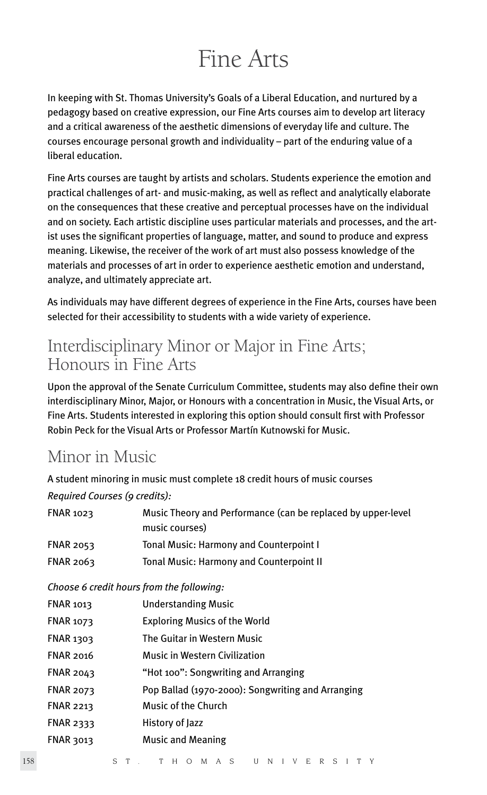# Fine Arts

In keeping with St. Thomas University's Goals of a Liberal Education, and nurtured by a pedagogy based on creative expression, our Fine Arts courses aim to develop art literacy and a critical awareness of the aesthetic dimensions of everyday life and culture. The courses encourage personal growth and individuality – part of the enduring value of a liberal education.

Fine Arts courses are taught by artists and scholars. Students experience the emotion and practical challenges of art- and music-making, as well as reflect and analytically elaborate on the consequences that these creative and perceptual processes have on the individual and on society. Each artistic discipline uses particular materials and processes, and the artist uses the significant properties of language, matter, and sound to produce and express meaning. Likewise, the receiver of the work of art must also possess knowledge of the materials and processes of art in order to experience aesthetic emotion and understand, analyze, and ultimately appreciate art.

As individuals may have different degrees of experience in the Fine Arts, courses have been selected for their accessibility to students with a wide variety of experience.

# Interdisciplinary Minor or Major in Fine Arts; Honours in Fine Arts

Upon the approval of the Senate Curriculum Committee, students may also define their own interdisciplinary Minor, Major, or Honours with a concentration in Music, the Visual Arts, or Fine Arts. Students interested in exploring this option should consult first with Professor Robin Peck for the Visual Arts or Professor Martín Kutnowski for Music.

# Minor in Music

A student minoring in music must complete 18 credit hours of music courses *Required Courses (9 credits):*

| <b>FNAR 1023</b>                          | Music Theory and Performance (can be replaced by upper-level<br>music courses) |  |
|-------------------------------------------|--------------------------------------------------------------------------------|--|
| <b>FNAR 2053</b>                          | Tonal Music: Harmony and Counterpoint I                                        |  |
| <b>FNAR 2063</b>                          | <b>Tonal Music: Harmony and Counterpoint II</b>                                |  |
| Choose 6 credit hours from the following: |                                                                                |  |
| <b>FNAR 1013</b>                          | Understanding Music                                                            |  |
| <b>FNAR 1073</b>                          | <b>Exploring Musics of the World</b>                                           |  |
| <b>FNAR 1303</b>                          | The Guitar in Western Music                                                    |  |
| <b>FNAR 2016</b>                          | <b>Music in Western Civilization</b>                                           |  |
| <b>FNAR 2043</b>                          | "Hot 100": Songwriting and Arranging                                           |  |
| <b>FNAR 2073</b>                          | Pop Ballad (1970-2000): Songwriting and Arranging                              |  |
| <b>FNAR 2213</b>                          | Music of the Church                                                            |  |
| <b>FNAR 2333</b>                          | History of Jazz                                                                |  |
| <b>FNAR 3013</b>                          | <b>Music and Meaning</b>                                                       |  |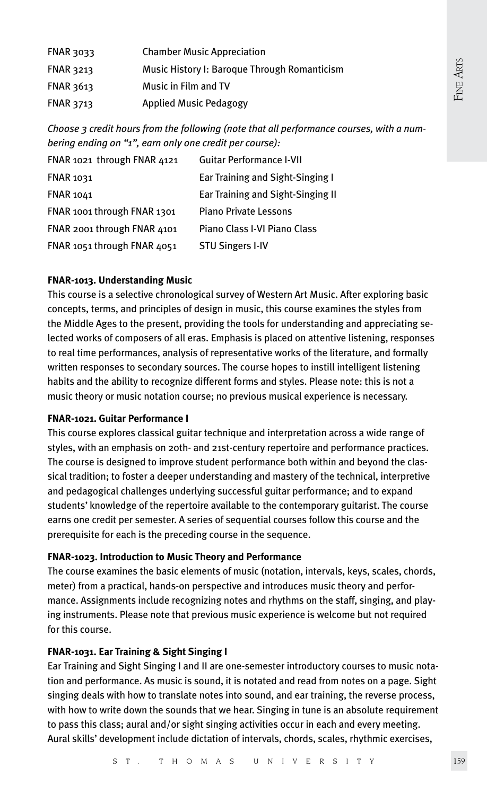| FNAR 3033 | <b>Chamber Music Appreciation</b>            |
|-----------|----------------------------------------------|
| FNAR 3213 | Music History I: Baroque Through Romanticism |
| FNAR 3613 | Music in Film and TV                         |
| FNAR 3713 | <b>Applied Music Pedagogy</b>                |

*Choose 3 credit hours from the following (note that all performance courses, with a numbering ending on "1", earn only one credit per course):*

| FNAR 1021 through FNAR 4121 | <b>Guitar Performance I-VII</b>   |
|-----------------------------|-----------------------------------|
| <b>FNAR 1031</b>            | Ear Training and Sight-Singing I  |
| <b>FNAR 1041</b>            | Ear Training and Sight-Singing II |
| FNAR 1001 through FNAR 1301 | <b>Piano Private Lessons</b>      |
| FNAR 2001 through FNAR 4101 | Piano Class I-VI Piano Class      |
| FNAR 1051 through FNAR 4051 | <b>STU Singers I-IV</b>           |

#### **FNAR-1013. Understanding Music**

This course is a selective chronological survey of Western Art Music. After exploring basic concepts, terms, and principles of design in music, this course examines the styles from the Middle Ages to the present, providing the tools for understanding and appreciating selected works of composers of all eras. Emphasis is placed on attentive listening, responses to real time performances, analysis of representative works of the literature, and formally written responses to secondary sources. The course hopes to instill intelligent listening habits and the ability to recognize different forms and styles. Please note: this is not a music theory or music notation course; no previous musical experience is necessary.

#### **FNAR-1021. Guitar Performance I**

This course explores classical guitar technique and interpretation across a wide range of styles, with an emphasis on 20th- and 21st-century repertoire and performance practices. The course is designed to improve student performance both within and beyond the classical tradition; to foster a deeper understanding and mastery of the technical, interpretive and pedagogical challenges underlying successful guitar performance; and to expand students' knowledge of the repertoire available to the contemporary guitarist. The course earns one credit per semester. A series of sequential courses follow this course and the prerequisite for each is the preceding course in the sequence.

#### **FNAR-1023. Introduction to Music Theory and Performance**

The course examines the basic elements of music (notation, intervals, keys, scales, chords, meter) from a practical, hands-on perspective and introduces music theory and performance. Assignments include recognizing notes and rhythms on the staff, singing, and playing instruments. Please note that previous music experience is welcome but not required for this course.

#### **FNAR-1031. Ear Training & Sight Singing I**

Ear Training and Sight Singing I and II are one-semester introductory courses to music notation and performance. As music is sound, it is notated and read from notes on a page. Sight singing deals with how to translate notes into sound, and ear training, the reverse process, with how to write down the sounds that we hear. Singing in tune is an absolute requirement to pass this class; aural and/or sight singing activities occur in each and every meeting. Aural skills' development include dictation of intervals, chords, scales, rhythmic exercises,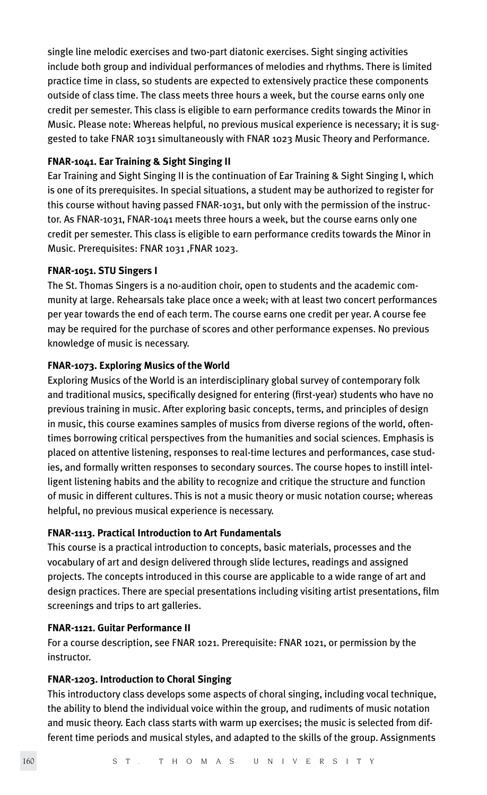single line melodic exercises and two-part diatonic exercises. Sight singing activities include both group and individual performances of melodies and rhythms. There is limited practice time in class, so students are expected to extensively practice these components outside of class time. The class meets three hours a week, but the course earns only one credit per semester. This class is eligible to earn performance credits towards the Minor in Music. Please note: Whereas helpful, no previous musical experience is necessary; it is suggested to take FNAR 1031 simultaneously with FNAR 1023 Music Theory and Performance.

#### **FNAR-1041. Ear Training & Sight Singing II**

Ear Training and Sight Singing II is the continuation of Ear Training & Sight Singing I, which is one of its prerequisites. In special situations, a student may be authorized to register for this course without having passed FNAR-1031, but only with the permission of the instructor. As FNAR-1031, FNAR-1041 meets three hours a week, but the course earns only one credit per semester. This class is eligible to earn performance credits towards the Minor in Music. Prerequisites: FNAR 1031 ,FNAR 1023.

#### **FNAR-1051. STU Singers I**

The St. Thomas Singers is a no-audition choir, open to students and the academic community at large. Rehearsals take place once a week; with at least two concert performances per year towards the end of each term. The course earns one credit per year. A course fee may be required for the purchase of scores and other performance expenses. No previous knowledge of music is necessary.

#### **FNAR-1073. Exploring Musics of the World**

Exploring Musics of the World is an interdisciplinary global survey of contemporary folk and traditional musics, specifically designed for entering (first-year) students who have no previous training in music. After exploring basic concepts, terms, and principles of design in music, this course examines samples of musics from diverse regions of the world, oftentimes borrowing critical perspectives from the humanities and social sciences. Emphasis is placed on attentive listening, responses to real-time lectures and performances, case studies, and formally written responses to secondary sources. The course hopes to instill intelligent listening habits and the ability to recognize and critique the structure and function of music in different cultures. This is not a music theory or music notation course; whereas helpful, no previous musical experience is necessary.

#### **FNAR-1113. Practical Introduction to Art Fundamentals**

This course is a practical introduction to concepts, basic materials, processes and the vocabulary of art and design delivered through slide lectures, readings and assigned projects. The concepts introduced in this course are applicable to a wide range of art and design practices. There are special presentations including visiting artist presentations, film screenings and trips to art galleries.

#### **FNAR-1121. Guitar Performance II**

For a course description, see FNAR 1021. Prerequisite: FNAR 1021, or permission by the instructor.

#### **FNAR-1203. Introduction to Choral Singing**

This introductory class develops some aspects of choral singing, including vocal technique, the ability to blend the individual voice within the group, and rudiments of music notation and music theory. Each class starts with warm up exercises; the music is selected from different time periods and musical styles, and adapted to the skills of the group. Assignments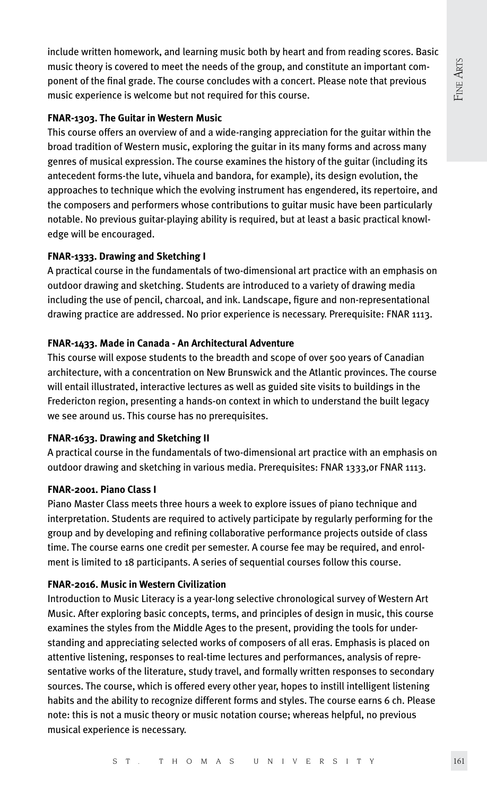include written homework, and learning music both by heart and from reading scores. Basic music theory is covered to meet the needs of the group, and constitute an important component of the final grade. The course concludes with a concert. Please note that previous music experience is welcome but not required for this course.

#### **FNAR-1303. The Guitar in Western Music**

This course offers an overview of and a wide-ranging appreciation for the guitar within the broad tradition of Western music, exploring the guitar in its many forms and across many genres of musical expression. The course examines the history of the guitar (including its antecedent forms-the lute, vihuela and bandora, for example), its design evolution, the approaches to technique which the evolving instrument has engendered, its repertoire, and the composers and performers whose contributions to guitar music have been particularly notable. No previous guitar-playing ability is required, but at least a basic practical knowledge will be encouraged.

#### **FNAR-1333. Drawing and Sketching I**

A practical course in the fundamentals of two-dimensional art practice with an emphasis on outdoor drawing and sketching. Students are introduced to a variety of drawing media including the use of pencil, charcoal, and ink. Landscape, figure and non-representational drawing practice are addressed. No prior experience is necessary. Prerequisite: FNAR 1113.

#### **FNAR-1433. Made in Canada - An Architectural Adventure**

This course will expose students to the breadth and scope of over 500 years of Canadian architecture, with a concentration on New Brunswick and the Atlantic provinces. The course will entail illustrated, interactive lectures as well as guided site visits to buildings in the Fredericton region, presenting a hands-on context in which to understand the built legacy we see around us. This course has no prerequisites.

#### **FNAR-1633. Drawing and Sketching II**

A practical course in the fundamentals of two-dimensional art practice with an emphasis on outdoor drawing and sketching in various media. Prerequisites: FNAR 1333,or FNAR 1113.

#### **FNAR-2001. Piano Class I**

Piano Master Class meets three hours a week to explore issues of piano technique and interpretation. Students are required to actively participate by regularly performing for the group and by developing and refining collaborative performance projects outside of class time. The course earns one credit per semester. A course fee may be required, and enrolment is limited to 18 participants. A series of sequential courses follow this course.

#### **FNAR-2016. Music in Western Civilization**

Introduction to Music Literacy is a year-long selective chronological survey of Western Art Music. After exploring basic concepts, terms, and principles of design in music, this course examines the styles from the Middle Ages to the present, providing the tools for understanding and appreciating selected works of composers of all eras. Emphasis is placed on attentive listening, responses to real-time lectures and performances, analysis of representative works of the literature, study travel, and formally written responses to secondary sources. The course, which is offered every other year, hopes to instill intelligent listening habits and the ability to recognize different forms and styles. The course earns 6 ch. Please note: this is not a music theory or music notation course; whereas helpful, no previous musical experience is necessary.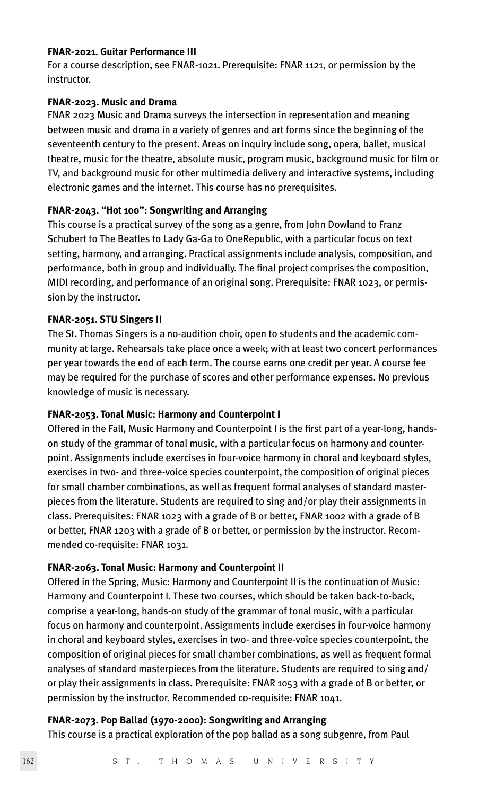#### **FNAR-2021. Guitar Performance III**

For a course description, see FNAR-1021. Prerequisite: FNAR 1121, or permission by the instructor.

#### **FNAR-2023. Music and Drama**

FNAR 2023 Music and Drama surveys the intersection in representation and meaning between music and drama in a variety of genres and art forms since the beginning of the seventeenth century to the present. Areas on inquiry include song, opera, ballet, musical theatre, music for the theatre, absolute music, program music, background music for film or TV, and background music for other multimedia delivery and interactive systems, including electronic games and the internet. This course has no prerequisites.

#### **FNAR-2043. "Hot 100": Songwriting and Arranging**

This course is a practical survey of the song as a genre, from John Dowland to Franz Schubert to The Beatles to Lady Ga-Ga to OneRepublic, with a particular focus on text setting, harmony, and arranging. Practical assignments include analysis, composition, and performance, both in group and individually. The final project comprises the composition, MIDI recording, and performance of an original song. Prerequisite: FNAR 1023, or permission by the instructor.

#### **FNAR-2051. STU Singers II**

The St. Thomas Singers is a no-audition choir, open to students and the academic community at large. Rehearsals take place once a week; with at least two concert performances per year towards the end of each term. The course earns one credit per year. A course fee may be required for the purchase of scores and other performance expenses. No previous knowledge of music is necessary.

#### **FNAR-2053. Tonal Music: Harmony and Counterpoint I**

Offered in the Fall, Music Harmony and Counterpoint I is the first part of a year-long, handson study of the grammar of tonal music, with a particular focus on harmony and counterpoint. Assignments include exercises in four-voice harmony in choral and keyboard styles, exercises in two- and three-voice species counterpoint, the composition of original pieces for small chamber combinations, as well as frequent formal analyses of standard masterpieces from the literature. Students are required to sing and/or play their assignments in class. Prerequisites: FNAR 1023 with a grade of B or better, FNAR 1002 with a grade of B or better, FNAR 1203 with a grade of B or better, or permission by the instructor. Recommended co-requisite: FNAR 1031.

#### **FNAR-2063. Tonal Music: Harmony and Counterpoint II**

Offered in the Spring, Music: Harmony and Counterpoint II is the continuation of Music: Harmony and Counterpoint I. These two courses, which should be taken back-to-back, comprise a year-long, hands-on study of the grammar of tonal music, with a particular focus on harmony and counterpoint. Assignments include exercises in four-voice harmony in choral and keyboard styles, exercises in two- and three-voice species counterpoint, the composition of original pieces for small chamber combinations, as well as frequent formal analyses of standard masterpieces from the literature. Students are required to sing and/ or play their assignments in class. Prerequisite: FNAR 1053 with a grade of B or better, or permission by the instructor. Recommended co-requisite: FNAR 1041.

#### **FNAR-2073. Pop Ballad (1970-2000): Songwriting and Arranging**

This course is a practical exploration of the pop ballad as a song subgenre, from Paul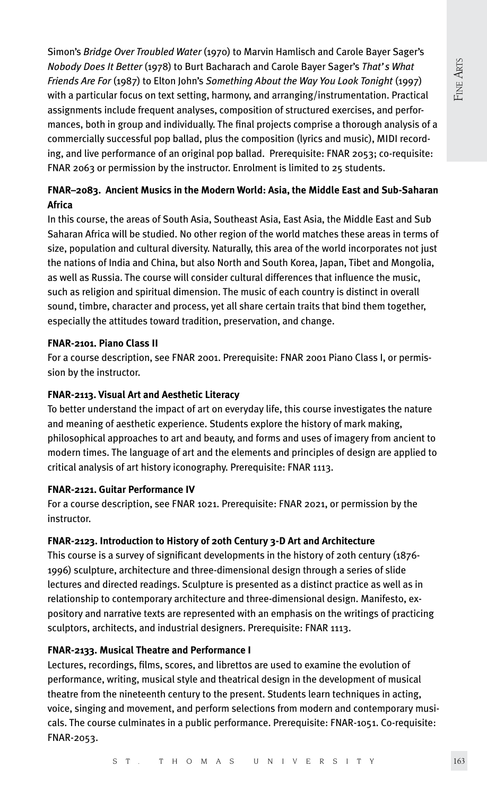Simon's *Bridge Over Troubled Water* (1970) to Marvin Hamlisch and Carole Bayer Sager's *Nobody Does It Better* (1978) to Burt Bacharach and Carole Bayer Sager's *That's What Friends Are For* (1987) to Elton John's *Something About the Way You Look Tonight* (1997) with a particular focus on text setting, harmony, and arranging/instrumentation. Practical assignments include frequent analyses, composition of structured exercises, and performances, both in group and individually. The final projects comprise a thorough analysis of a commercially successful pop ballad, plus the composition (lyrics and music), MIDI recording, and live performance of an original pop ballad. Prerequisite: FNAR 2053; co-requisite: FNAR 2063 or permission by the instructor. Enrolment is limited to 25 students.

# **FNAR–2083. Ancient Musics in the Modern World: Asia, the Middle East and Sub-Saharan Africa**

In this course, the areas of South Asia, Southeast Asia, East Asia, the Middle East and Sub Saharan Africa will be studied. No other region of the world matches these areas in terms of size, population and cultural diversity. Naturally, this area of the world incorporates not just the nations of India and China, but also North and South Korea, Japan, Tibet and Mongolia, as well as Russia. The course will consider cultural differences that influence the music, such as religion and spiritual dimension. The music of each country is distinct in overall sound, timbre, character and process, yet all share certain traits that bind them together, especially the attitudes toward tradition, preservation, and change.

# **FNAR-2101. Piano Class II**

For a course description, see FNAR 2001. Prerequisite: FNAR 2001 Piano Class I, or permission by the instructor.

# **FNAR-2113. Visual Art and Aesthetic Literacy**

To better understand the impact of art on everyday life, this course investigates the nature and meaning of aesthetic experience. Students explore the history of mark making, philosophical approaches to art and beauty, and forms and uses of imagery from ancient to modern times. The language of art and the elements and principles of design are applied to critical analysis of art history iconography. Prerequisite: FNAR 1113.

# **FNAR-2121. Guitar Performance IV**

For a course description, see FNAR 1021. Prerequisite: FNAR 2021, or permission by the instructor.

# **FNAR-2123. Introduction to History of 20th Century 3-D Art and Architecture**

This course is a survey of significant developments in the history of 20th century (1876- 1996) sculpture, architecture and three-dimensional design through a series of slide lectures and directed readings. Sculpture is presented as a distinct practice as well as in relationship to contemporary architecture and three-dimensional design. Manifesto, expository and narrative texts are represented with an emphasis on the writings of practicing sculptors, architects, and industrial designers. Prerequisite: FNAR 1113.

# **FNAR-2133. Musical Theatre and Performance I**

Lectures, recordings, films, scores, and librettos are used to examine the evolution of performance, writing, musical style and theatrical design in the development of musical theatre from the nineteenth century to the present. Students learn techniques in acting, voice, singing and movement, and perform selections from modern and contemporary musicals. The course culminates in a public performance. Prerequisite: FNAR-1051. Co-requisite: FNAR-2053.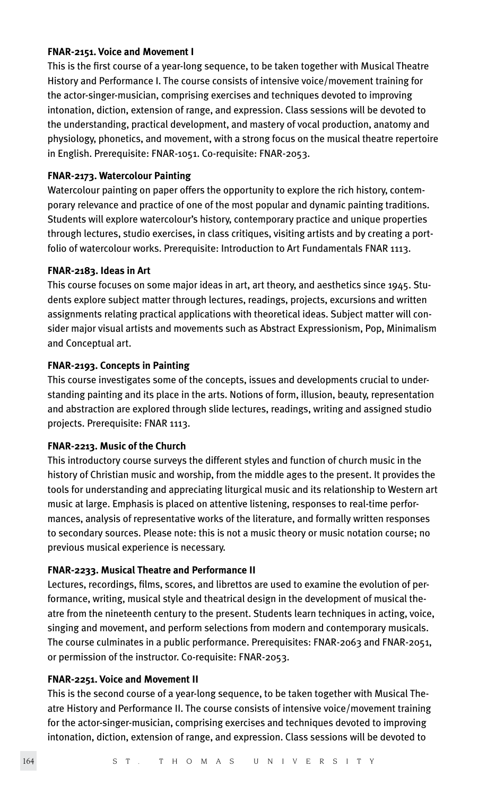#### **FNAR-2151. Voice and Movement I**

This is the first course of a year-long sequence, to be taken together with Musical Theatre History and Performance I. The course consists of intensive voice/movement training for the actor-singer-musician, comprising exercises and techniques devoted to improving intonation, diction, extension of range, and expression. Class sessions will be devoted to the understanding, practical development, and mastery of vocal production, anatomy and physiology, phonetics, and movement, with a strong focus on the musical theatre repertoire in English. Prerequisite: FNAR-1051. Co-requisite: FNAR-2053.

#### **FNAR-2173. Watercolour Painting**

Watercolour painting on paper offers the opportunity to explore the rich history, contemporary relevance and practice of one of the most popular and dynamic painting traditions. Students will explore watercolour's history, contemporary practice and unique properties through lectures, studio exercises, in class critiques, visiting artists and by creating a portfolio of watercolour works. Prerequisite: Introduction to Art Fundamentals FNAR 1113.

#### **FNAR-2183. Ideas in Art**

This course focuses on some major ideas in art, art theory, and aesthetics since 1945. Students explore subject matter through lectures, readings, projects, excursions and written assignments relating practical applications with theoretical ideas. Subject matter will consider major visual artists and movements such as Abstract Expressionism, Pop, Minimalism and Conceptual art.

#### **FNAR-2193. Concepts in Painting**

This course investigates some of the concepts, issues and developments crucial to understanding painting and its place in the arts. Notions of form, illusion, beauty, representation and abstraction are explored through slide lectures, readings, writing and assigned studio projects. Prerequisite: FNAR 1113.

#### **FNAR-2213. Music of the Church**

This introductory course surveys the different styles and function of church music in the history of Christian music and worship, from the middle ages to the present. It provides the tools for understanding and appreciating liturgical music and its relationship to Western art music at large. Emphasis is placed on attentive listening, responses to real-time performances, analysis of representative works of the literature, and formally written responses to secondary sources. Please note: this is not a music theory or music notation course; no previous musical experience is necessary.

#### **FNAR-2233. Musical Theatre and Performance II**

Lectures, recordings, films, scores, and librettos are used to examine the evolution of performance, writing, musical style and theatrical design in the development of musical theatre from the nineteenth century to the present. Students learn techniques in acting, voice, singing and movement, and perform selections from modern and contemporary musicals. The course culminates in a public performance. Prerequisites: FNAR-2063 and FNAR-2051, or permission of the instructor. Co-requisite: FNAR-2053.

#### **FNAR-2251. Voice and Movement II**

This is the second course of a year-long sequence, to be taken together with Musical Theatre History and Performance II. The course consists of intensive voice/movement training for the actor-singer-musician, comprising exercises and techniques devoted to improving intonation, diction, extension of range, and expression. Class sessions will be devoted to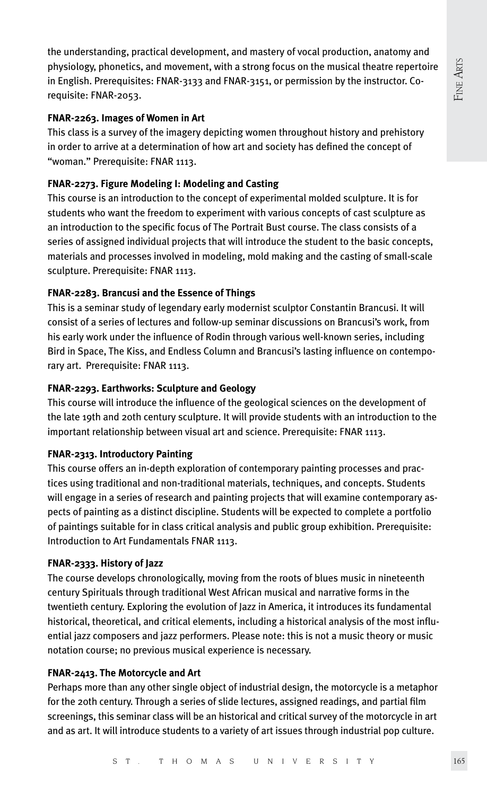the understanding, practical development, and mastery of vocal production, anatomy and physiology, phonetics, and movement, with a strong focus on the musical theatre repertoire in English. Prerequisites: FNAR-3133 and FNAR-3151, or permission by the instructor. Corequisite: FNAR-2053.

# **FNAR-2263. Images of Women in Art**

This class is a survey of the imagery depicting women throughout history and prehistory in order to arrive at a determination of how art and society has defined the concept of "woman." Prerequisite: FNAR 1113.

# **FNAR-2273. Figure Modeling I: Modeling and Casting**

This course is an introduction to the concept of experimental molded sculpture. It is for students who want the freedom to experiment with various concepts of cast sculpture as an introduction to the specific focus of The Portrait Bust course. The class consists of a series of assigned individual projects that will introduce the student to the basic concepts, materials and processes involved in modeling, mold making and the casting of small-scale sculpture. Prerequisite: FNAR 1113.

# **FNAR-2283. Brancusi and the Essence of Things**

This is a seminar study of legendary early modernist sculptor Constantin Brancusi. It will consist of a series of lectures and follow-up seminar discussions on Brancusi's work, from his early work under the influence of Rodin through various well-known series, including Bird in Space, The Kiss, and Endless Column and Brancusi's lasting influence on contemporary art. Prerequisite: FNAR 1113.

# **FNAR-2293. Earthworks: Sculpture and Geology**

This course will introduce the influence of the geological sciences on the development of the late 19th and 20th century sculpture. It will provide students with an introduction to the important relationship between visual art and science. Prerequisite: FNAR 1113.

# **FNAR-2313. Introductory Painting**

This course offers an in-depth exploration of contemporary painting processes and practices using traditional and non-traditional materials, techniques, and concepts. Students will engage in a series of research and painting projects that will examine contemporary aspects of painting as a distinct discipline. Students will be expected to complete a portfolio of paintings suitable for in class critical analysis and public group exhibition. Prerequisite: Introduction to Art Fundamentals FNAR 1113.

# **FNAR-2333. History of Jazz**

The course develops chronologically, moving from the roots of blues music in nineteenth century Spirituals through traditional West African musical and narrative forms in the twentieth century. Exploring the evolution of Jazz in America, it introduces its fundamental historical, theoretical, and critical elements, including a historical analysis of the most influential jazz composers and jazz performers. Please note: this is not a music theory or music notation course; no previous musical experience is necessary.

# **FNAR-2413. The Motorcycle and Art**

Perhaps more than any other single object of industrial design, the motorcycle is a metaphor for the 20th century. Through a series of slide lectures, assigned readings, and partial film screenings, this seminar class will be an historical and critical survey of the motorcycle in art and as art. It will introduce students to a variety of art issues through industrial pop culture.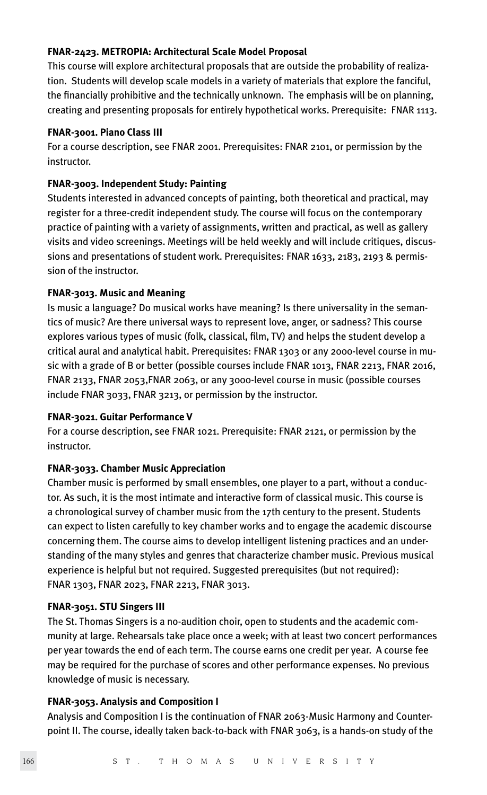#### **FNAR-2423. METROPIA: Architectural Scale Model Proposal**

This course will explore architectural proposals that are outside the probability of realization. Students will develop scale models in a variety of materials that explore the fanciful, the financially prohibitive and the technically unknown. The emphasis will be on planning, creating and presenting proposals for entirely hypothetical works. Prerequisite: FNAR 1113.

#### **FNAR-3001. Piano Class III**

For a course description, see FNAR 2001. Prerequisites: FNAR 2101, or permission by the instructor.

#### **FNAR-3003. Independent Study: Painting**

Students interested in advanced concepts of painting, both theoretical and practical, may register for a three-credit independent study. The course will focus on the contemporary practice of painting with a variety of assignments, written and practical, as well as gallery visits and video screenings. Meetings will be held weekly and will include critiques, discussions and presentations of student work. Prerequisites: FNAR 1633, 2183, 2193 & permission of the instructor.

#### **FNAR-3013. Music and Meaning**

Is music a language? Do musical works have meaning? Is there universality in the semantics of music? Are there universal ways to represent love, anger, or sadness? This course explores various types of music (folk, classical, film, TV) and helps the student develop a critical aural and analytical habit. Prerequisites: FNAR 1303 or any 2000-level course in music with a grade of B or better (possible courses include FNAR 1013, FNAR 2213, FNAR 2016, FNAR 2133, FNAR 2053,FNAR 2063, or any 3000-level course in music (possible courses include FNAR 3033, FNAR 3213, or permission by the instructor.

#### **FNAR-3021. Guitar Performance V**

For a course description, see FNAR 1021. Prerequisite: FNAR 2121, or permission by the instructor.

#### **FNAR-3033. Chamber Music Appreciation**

Chamber music is performed by small ensembles, one player to a part, without a conductor. As such, it is the most intimate and interactive form of classical music. This course is a chronological survey of chamber music from the 17th century to the present. Students can expect to listen carefully to key chamber works and to engage the academic discourse concerning them. The course aims to develop intelligent listening practices and an understanding of the many styles and genres that characterize chamber music. Previous musical experience is helpful but not required. Suggested prerequisites (but not required): FNAR 1303, FNAR 2023, FNAR 2213, FNAR 3013.

#### **FNAR-3051. STU Singers III**

The St. Thomas Singers is a no-audition choir, open to students and the academic community at large. Rehearsals take place once a week; with at least two concert performances per year towards the end of each term. The course earns one credit per year. A course fee may be required for the purchase of scores and other performance expenses. No previous knowledge of music is necessary.

#### **FNAR-3053. Analysis and Composition I**

Analysis and Composition I is the continuation of FNAR 2063-Music Harmony and Counterpoint II. The course, ideally taken back-to-back with FNAR 3063, is a hands-on study of the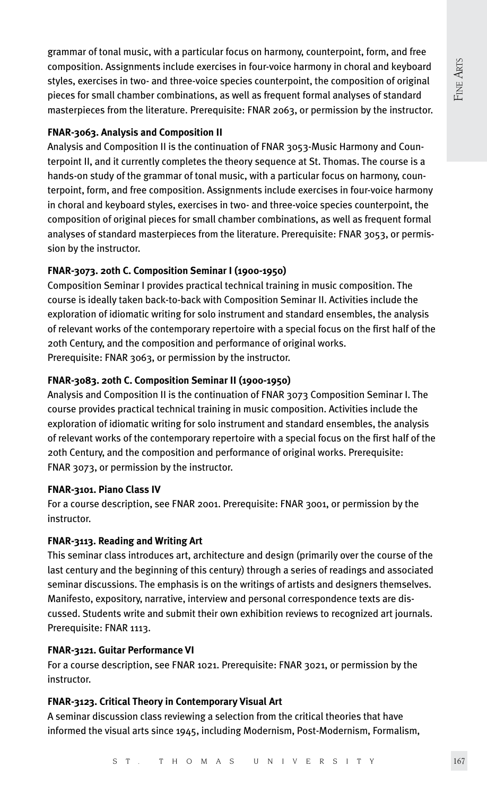grammar of tonal music, with a particular focus on harmony, counterpoint, form, and free composition. Assignments include exercises in four-voice harmony in choral and keyboard styles, exercises in two- and three-voice species counterpoint, the composition of original pieces for small chamber combinations, as well as frequent formal analyses of standard masterpieces from the literature. Prerequisite: FNAR 2063, or permission by the instructor.

# **FNAR-3063. Analysis and Composition II**

Analysis and Composition II is the continuation of FNAR 3053-Music Harmony and Counterpoint II, and it currently completes the theory sequence at St. Thomas. The course is a hands-on study of the grammar of tonal music, with a particular focus on harmony, counterpoint, form, and free composition. Assignments include exercises in four-voice harmony in choral and keyboard styles, exercises in two- and three-voice species counterpoint, the composition of original pieces for small chamber combinations, as well as frequent formal analyses of standard masterpieces from the literature. Prerequisite: FNAR 3053, or permission by the instructor.

# **FNAR-3073. 20th C. Composition Seminar I (1900-1950)**

Composition Seminar I provides practical technical training in music composition. The course is ideally taken back-to-back with Composition Seminar II. Activities include the exploration of idiomatic writing for solo instrument and standard ensembles, the analysis of relevant works of the contemporary repertoire with a special focus on the first half of the 20th Century, and the composition and performance of original works. Prerequisite: FNAR 3063, or permission by the instructor.

# **FNAR-3083. 20th C. Composition Seminar II (1900-1950)**

Analysis and Composition II is the continuation of FNAR 3073 Composition Seminar I. The course provides practical technical training in music composition. Activities include the exploration of idiomatic writing for solo instrument and standard ensembles, the analysis of relevant works of the contemporary repertoire with a special focus on the first half of the 20th Century, and the composition and performance of original works. Prerequisite: FNAR 3073, or permission by the instructor.

#### **FNAR-3101. Piano Class IV**

For a course description, see FNAR 2001. Prerequisite: FNAR 3001, or permission by the instructor.

# **FNAR-3113. Reading and Writing Art**

This seminar class introduces art, architecture and design (primarily over the course of the last century and the beginning of this century) through a series of readings and associated seminar discussions. The emphasis is on the writings of artists and designers themselves. Manifesto, expository, narrative, interview and personal correspondence texts are discussed. Students write and submit their own exhibition reviews to recognized art journals. Prerequisite: FNAR 1113.

#### **FNAR-3121. Guitar Performance VI**

For a course description, see FNAR 1021. Prerequisite: FNAR 3021, or permission by the instructor.

# **FNAR-3123. Critical Theory in Contemporary Visual Art**

A seminar discussion class reviewing a selection from the critical theories that have informed the visual arts since 1945, including Modernism, Post-Modernism, Formalism,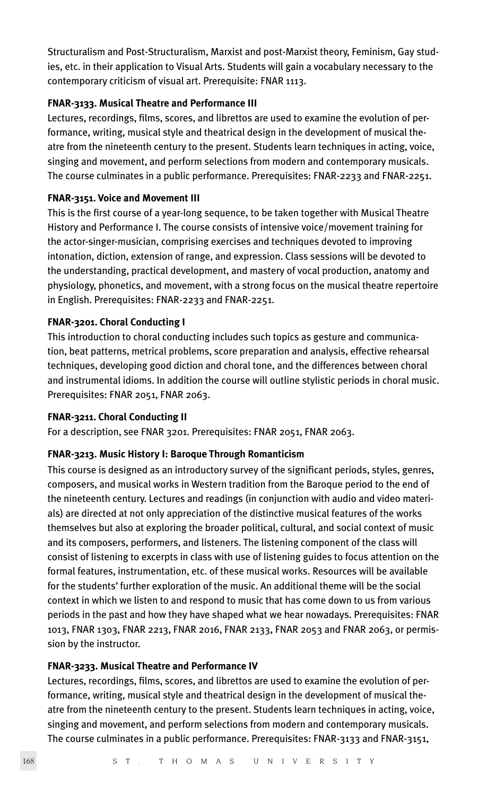Structuralism and Post-Structuralism, Marxist and post-Marxist theory, Feminism, Gay studies, etc. in their application to Visual Arts. Students will gain a vocabulary necessary to the contemporary criticism of visual art. Prerequisite: FNAR 1113.

# **FNAR-3133. Musical Theatre and Performance III**

Lectures, recordings, films, scores, and librettos are used to examine the evolution of performance, writing, musical style and theatrical design in the development of musical theatre from the nineteenth century to the present. Students learn techniques in acting, voice, singing and movement, and perform selections from modern and contemporary musicals. The course culminates in a public performance. Prerequisites: FNAR-2233 and FNAR-2251.

# **FNAR-3151. Voice and Movement III**

This is the first course of a year-long sequence, to be taken together with Musical Theatre History and Performance I. The course consists of intensive voice/movement training for the actor-singer-musician, comprising exercises and techniques devoted to improving intonation, diction, extension of range, and expression. Class sessions will be devoted to the understanding, practical development, and mastery of vocal production, anatomy and physiology, phonetics, and movement, with a strong focus on the musical theatre repertoire in English. Prerequisites: FNAR-2233 and FNAR-2251.

# **FNAR-3201. Choral Conducting I**

This introduction to choral conducting includes such topics as gesture and communication, beat patterns, metrical problems, score preparation and analysis, effective rehearsal techniques, developing good diction and choral tone, and the differences between choral and instrumental idioms. In addition the course will outline stylistic periods in choral music. Prerequisites: FNAR 2051, FNAR 2063.

#### **FNAR-3211. Choral Conducting II**

For a description, see FNAR 3201. Prerequisites: FNAR 2051, FNAR 2063.

#### **FNAR-3213. Music History I: Baroque Through Romanticism**

This course is designed as an introductory survey of the significant periods, styles, genres, composers, and musical works in Western tradition from the Baroque period to the end of the nineteenth century. Lectures and readings (in conjunction with audio and video materials) are directed at not only appreciation of the distinctive musical features of the works themselves but also at exploring the broader political, cultural, and social context of music and its composers, performers, and listeners. The listening component of the class will consist of listening to excerpts in class with use of listening guides to focus attention on the formal features, instrumentation, etc. of these musical works. Resources will be available for the students' further exploration of the music. An additional theme will be the social context in which we listen to and respond to music that has come down to us from various periods in the past and how they have shaped what we hear nowadays. Prerequisites: FNAR 1013, FNAR 1303, FNAR 2213, FNAR 2016, FNAR 2133, FNAR 2053 and FNAR 2063, or permission by the instructor.

#### **FNAR-3233. Musical Theatre and Performance IV**

Lectures, recordings, films, scores, and librettos are used to examine the evolution of performance, writing, musical style and theatrical design in the development of musical theatre from the nineteenth century to the present. Students learn techniques in acting, voice, singing and movement, and perform selections from modern and contemporary musicals. The course culminates in a public performance. Prerequisites: FNAR-3133 and FNAR-3151,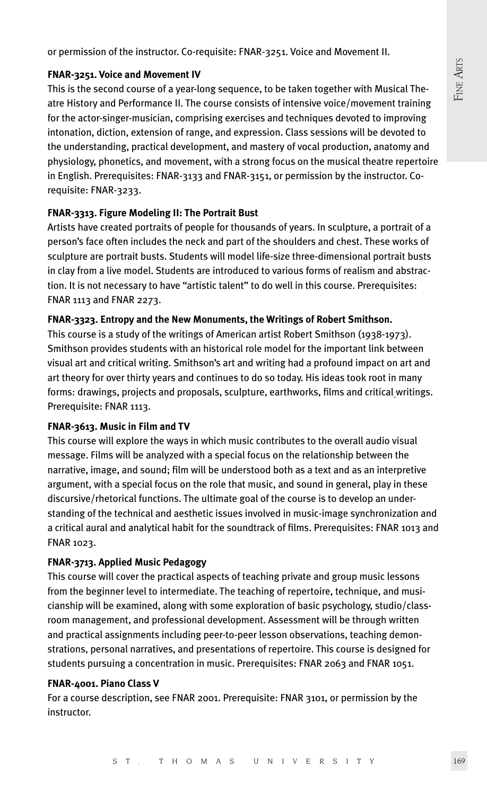or permission of the instructor. Co-requisite: FNAR-3251. Voice and Movement II.

#### **FNAR-3251. Voice and Movement IV**

This is the second course of a year-long sequence, to be taken together with Musical Theatre History and Performance II. The course consists of intensive voice/movement training for the actor-singer-musician, comprising exercises and techniques devoted to improving intonation, diction, extension of range, and expression. Class sessions will be devoted to the understanding, practical development, and mastery of vocal production, anatomy and physiology, phonetics, and movement, with a strong focus on the musical theatre repertoire in English. Prerequisites: FNAR-3133 and FNAR-3151, or permission by the instructor. Corequisite: FNAR-3233.

# **FNAR-3313. Figure Modeling II: The Portrait Bust**

Artists have created portraits of people for thousands of years. In sculpture, a portrait of a person's face often includes the neck and part of the shoulders and chest. These works of sculpture are portrait busts. Students will model life-size three-dimensional portrait busts in clay from a live model. Students are introduced to various forms of realism and abstraction. It is not necessary to have "artistic talent" to do well in this course. Prerequisites: FNAR 1113 and FNAR 2273.

# **FNAR-3323. Entropy and the New Monuments, the Writings of Robert Smithson.**

This course is a study of the writings of American artist Robert Smithson (1938-1973). Smithson provides students with an historical role model for the important link between visual art and critical writing. Smithson's art and writing had a profound impact on art and art theory for over thirty years and continues to do so today. His ideas took root in many forms: drawings, projects and proposals, sculpture, earthworks, films and critical writings. Prerequisite: FNAR 1113.

# **FNAR-3613. Music in Film and TV**

This course will explore the ways in which music contributes to the overall audio visual message. Films will be analyzed with a special focus on the relationship between the narrative, image, and sound; film will be understood both as a text and as an interpretive argument, with a special focus on the role that music, and sound in general, play in these discursive/rhetorical functions. The ultimate goal of the course is to develop an understanding of the technical and aesthetic issues involved in music-image synchronization and a critical aural and analytical habit for the soundtrack of films. Prerequisites: FNAR 1013 and FNAR 1023.

# **FNAR-3713. Applied Music Pedagogy**

This course will cover the practical aspects of teaching private and group music lessons from the beginner level to intermediate. The teaching of repertoire, technique, and musicianship will be examined, along with some exploration of basic psychology, studio/classroom management, and professional development. Assessment will be through written and practical assignments including peer-to-peer lesson observations, teaching demonstrations, personal narratives, and presentations of repertoire. This course is designed for students pursuing a concentration in music. Prerequisites: FNAR 2063 and FNAR 1051.

#### **FNAR-4001. Piano Class V**

For a course description, see FNAR 2001. Prerequisite: FNAR 3101, or permission by the instructor.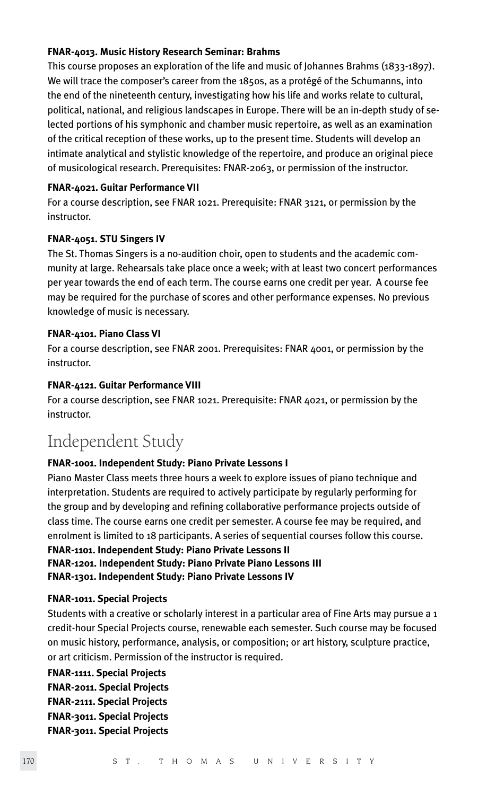#### **FNAR-4013. Music History Research Seminar: Brahms**

This course proposes an exploration of the life and music of Johannes Brahms (1833-1897). We will trace the composer's career from the 1850s, as a protégé of the Schumanns, into the end of the nineteenth century, investigating how his life and works relate to cultural, political, national, and religious landscapes in Europe. There will be an in-depth study of selected portions of his symphonic and chamber music repertoire, as well as an examination of the critical reception of these works, up to the present time. Students will develop an intimate analytical and stylistic knowledge of the repertoire, and produce an original piece of musicological research. Prerequisites: FNAR-2063, or permission of the instructor.

#### **FNAR-4021. Guitar Performance VII**

For a course description, see FNAR 1021. Prerequisite: FNAR 3121, or permission by the instructor.

#### **FNAR-4051. STU Singers IV**

The St. Thomas Singers is a no-audition choir, open to students and the academic community at large. Rehearsals take place once a week; with at least two concert performances per year towards the end of each term. The course earns one credit per year. A course fee may be required for the purchase of scores and other performance expenses. No previous knowledge of music is necessary.

#### **FNAR-4101. Piano Class VI**

For a course description, see FNAR 2001. Prerequisites: FNAR 4001, or permission by the instructor.

#### **FNAR-4121. Guitar Performance VIII**

For a course description, see FNAR 1021. Prerequisite: FNAR 4021, or permission by the instructor.

# Independent Study

# **FNAR-1001. Independent Study: Piano Private Lessons I**

Piano Master Class meets three hours a week to explore issues of piano technique and interpretation. Students are required to actively participate by regularly performing for the group and by developing and refining collaborative performance projects outside of class time. The course earns one credit per semester. A course fee may be required, and enrolment is limited to 18 participants. A series of sequential courses follow this course.

**FNAR-1101. Independent Study: Piano Private Lessons II FNAR-1201. Independent Study: Piano Private Piano Lessons III FNAR-1301. Independent Study: Piano Private Lessons IV**

#### **FNAR-1011. Special Projects**

Students with a creative or scholarly interest in a particular area of Fine Arts may pursue a 1 credit-hour Special Projects course, renewable each semester. Such course may be focused on music history, performance, analysis, or composition; or art history, sculpture practice, or art criticism. Permission of the instructor is required.

**FNAR-1111. Special Projects FNAR-2011. Special Projects FNAR-2111. Special Projects FNAR-3011. Special Projects FNAR-3011. Special Projects**